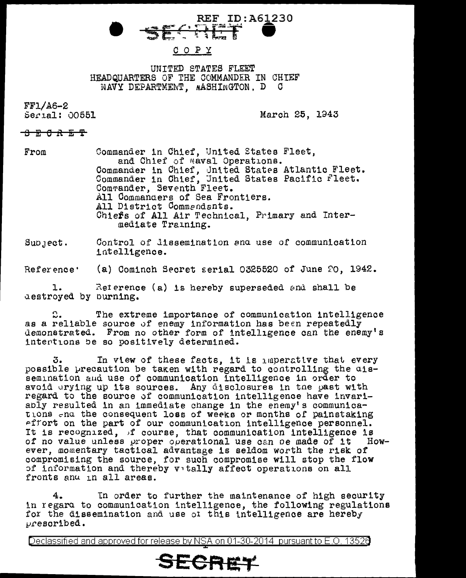# **REF ID: A61230**

#### COPY

UNITED STATES FLEET HEADQUARTERS OF THE COMMANDER IN CHIEF NAVY DEPARTMENT, NASHINGTON, D C

 $FF1/A6-2$  $5erial: 00551$ 

March 25, 1943

### 8 R 6 R 5 T

Commander in Chief, United States Fleet,  $From$ and Chief of Naval Operations. Commander in Chief, United States Atlantic Fleet.<br>Commander in Chief, United States Pacific Fleet.<br>Commander, Seventh Fleet. All Commanders of Sea Frontiers. All District Commendants. Chiefs of All Air Technical, Primary and Intermediate Training.

Control of lissemination and use of communication  $SuD$ ,  $ect.$ intelligence.

(a) Cominch Secret serial 0325520 of June 20, 1942. Reference'

Reference (a) is hereby superseded and shall be ı. aestroyed by burning.

င္.. The extreme importance of communication intelligence as a reliable source of enemy information has been repeatedly demonstrated. From no other form of intelligence can the enemy's intertions be so positively determined.

In view of these facts, it is maperative that every 3. possible precaution be taken with regard to controlling the uissemination and use of communication intelligence in order to avoid arying up its sources. Any disclosures in the past with regard to the source of communication intelligence have invariably resulted in an immediate change in the enemy's communications and the consequent loss of weeks or months of painstaking effort on the part of our communication intelligence personnel. It is recognized, if course, that communication intelligence is of no value unless proper operational use can be made of it  $How$ ever, momentary tactical advantage is seldom worth the risk of compromising the source, for such compromise will stop the flow of information and thereby vitally affect operations on all fronts and in all areas.

4. In order to further the maintenance of high security in regara to communication intelligence, the following regulations for the dissemination and use of this intelligence are hereby  $\nu$ rescribed.

Declassified and approved for release by NSA on 01-30-2014 pursuant to E.O. 13526

## SECRET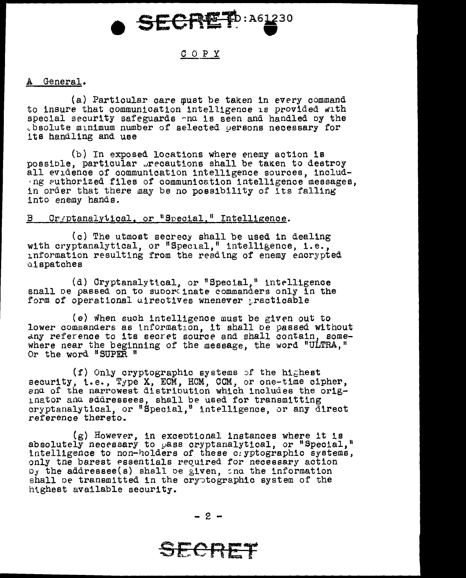

#### COPY

#### A General.

 $(a)$  Particular care must be taken in every command to insure that communication intelligence is provided with special security safeguards ~nu is seen and handled oy the ~bsolute minimum number of selected yereons necessary for its handling and use

(b) In exposed locations where enemy action is possible, particular precautions shall be taken to destroy all evidence of communication intelligence sources, includng authorized files of communication intelligence messages, in order that there may be no possibility of its falling into enemy hands.

### B Cryptanalytical, or "Special." Intelligence.

(c) The utmost secrecy shall be used in dealing with cryptanalytical, or "Special," intelligence, i.e., information resulting from the reading of enemy encrypted qispatches

(d) Cryptanalytical, or "Special," intelligence snall be passed on to suborcinate commanders only in the form of operational ulrectives whenever practicable

(e) when such intelligence must be given out to lower commanders as tnformat1on, it shall oe passed without commenters as information, it shall be passed writing where near the beginning of the message, the word "ULTRA," Or the word "SUPER "

(f) Only cryptographic systems of the highest security, i.e., Type X, ECM, HCM, CCM, or one-time cipher, ences of the narrowest distribution which includes the orig-<br>inator and sddressees, shall be used for transmitting inator and sddressees, shall be used for transmitting<br>cryptanalytical, or "Special," intelligence, or any direct reference thereto.

(g) However, in exceotional instances where it 1s absolutely necessary to pass cryptanalytical, or "Special," intelligence to non-holders of these cayptographic systems, only the barest essentials required for necessary action  $D_{\mathcal{Y}}$  the addressee(s) shall be given, and the information shall be transmitted in the cryptographic system of the htghest available security.

SECRET